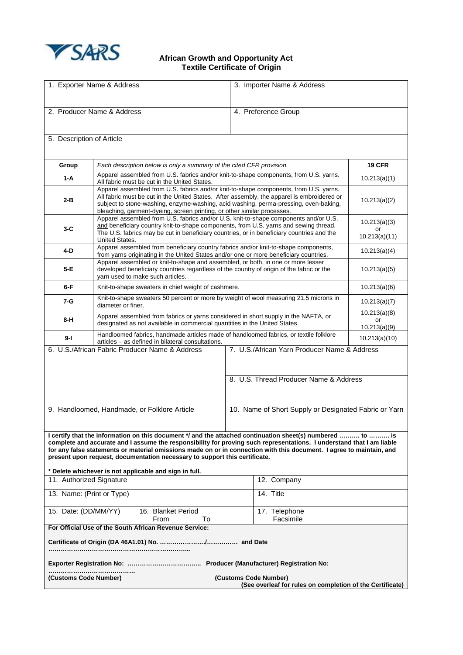

## **African Growth and Opportunity Act Textile Certificate of Origin**

| 1. Exporter Name & Address                                                                                                                                                                                                                                                                                                                                                                                                                                                                          |                                                                                                                                                                                                                                                                                                                                                        |  | 3. Importer Name & Address                            |                                        |                                     |
|-----------------------------------------------------------------------------------------------------------------------------------------------------------------------------------------------------------------------------------------------------------------------------------------------------------------------------------------------------------------------------------------------------------------------------------------------------------------------------------------------------|--------------------------------------------------------------------------------------------------------------------------------------------------------------------------------------------------------------------------------------------------------------------------------------------------------------------------------------------------------|--|-------------------------------------------------------|----------------------------------------|-------------------------------------|
| 2. Producer Name & Address                                                                                                                                                                                                                                                                                                                                                                                                                                                                          |                                                                                                                                                                                                                                                                                                                                                        |  | 4. Preference Group                                   |                                        |                                     |
| 5. Description of Article                                                                                                                                                                                                                                                                                                                                                                                                                                                                           |                                                                                                                                                                                                                                                                                                                                                        |  |                                                       |                                        |                                     |
| Group                                                                                                                                                                                                                                                                                                                                                                                                                                                                                               | Each description below is only a summary of the cited CFR provision.                                                                                                                                                                                                                                                                                   |  |                                                       |                                        | <b>19 CFR</b>                       |
| $1-A$                                                                                                                                                                                                                                                                                                                                                                                                                                                                                               | Apparel assembled from U.S. fabrics and/or knit-to-shape components, from U.S. yarns.<br>All fabric must be cut in the United States.                                                                                                                                                                                                                  |  |                                                       |                                        | 10.213(a)(1)                        |
| 2-B                                                                                                                                                                                                                                                                                                                                                                                                                                                                                                 | Apparel assembled from U.S. fabrics and/or knit-to-shape components, from U.S. yarns.<br>All fabric must be cut in the United States. After assembly, the apparel is embroidered or<br>subject to stone-washing, enzyme-washing, acid washing, perma-pressing, oven-baking,<br>bleaching, garment-dyeing, screen printing, or other similar processes. |  |                                                       |                                        | 10.213(a)(2)                        |
| $3-C$                                                                                                                                                                                                                                                                                                                                                                                                                                                                                               | Apparel assembled from U.S. fabrics and/or U.S. knit-to-shape components and/or U.S.<br>and beneficiary country knit-to-shape components, from U.S. yarns and sewing thread.<br>The U.S. fabrics may be cut in beneficiary countries, or in beneficiary countries and the                                                                              |  |                                                       |                                        | 10.213(a)(3)<br>or<br>10.213(a)(11) |
| 4-D                                                                                                                                                                                                                                                                                                                                                                                                                                                                                                 | United States.<br>Apparel assembled from beneficiary country fabrics and/or knit-to-shape components,                                                                                                                                                                                                                                                  |  |                                                       |                                        |                                     |
|                                                                                                                                                                                                                                                                                                                                                                                                                                                                                                     | 10.213(a)(4)<br>from yarns originating in the United States and/or one or more beneficiary countries.<br>Apparel assembled or knit-to-shape and assembled, or both, in one or more lesser                                                                                                                                                              |  |                                                       |                                        |                                     |
| 5-E                                                                                                                                                                                                                                                                                                                                                                                                                                                                                                 | developed beneficiary countries regardless of the country of origin of the fabric or the<br>yarn used to make such articles.                                                                                                                                                                                                                           |  |                                                       |                                        | 10.213(a)(5)                        |
| $6-F$                                                                                                                                                                                                                                                                                                                                                                                                                                                                                               | Knit-to-shape sweaters in chief weight of cashmere.                                                                                                                                                                                                                                                                                                    |  |                                                       |                                        | 10.213(a)(6)                        |
| 7-G                                                                                                                                                                                                                                                                                                                                                                                                                                                                                                 | Knit-to-shape sweaters 50 percent or more by weight of wool measuring 21.5 microns in<br>diameter or finer.                                                                                                                                                                                                                                            |  |                                                       |                                        | 10.213(a)(7)                        |
| 8-H                                                                                                                                                                                                                                                                                                                                                                                                                                                                                                 | Apparel assembled from fabrics or yarns considered in short supply in the NAFTA, or<br>designated as not available in commercial quantities in the United States.                                                                                                                                                                                      |  |                                                       |                                        | 10.213(a)(8)<br>or<br>10.213(a)(9)  |
| 9-l                                                                                                                                                                                                                                                                                                                                                                                                                                                                                                 | Handloomed fabrics, handmade articles made of handloomed fabrics, or textile folklore                                                                                                                                                                                                                                                                  |  |                                                       |                                        |                                     |
| articles - as defined in bilateral consultations.<br>6. U.S./African Fabric Producer Name & Address<br>7. U.S./African Yarn Producer Name & Address                                                                                                                                                                                                                                                                                                                                                 |                                                                                                                                                                                                                                                                                                                                                        |  |                                                       |                                        | 10.213(a)(10)                       |
|                                                                                                                                                                                                                                                                                                                                                                                                                                                                                                     |                                                                                                                                                                                                                                                                                                                                                        |  |                                                       | 8. U.S. Thread Producer Name & Address |                                     |
| 9. Handloomed, Handmade, or Folklore Article                                                                                                                                                                                                                                                                                                                                                                                                                                                        |                                                                                                                                                                                                                                                                                                                                                        |  | 10. Name of Short Supply or Designated Fabric or Yarn |                                        |                                     |
| I certify that the information on this document */ and the attached continuation sheet(s) numbered  to  is<br>complete and accurate and I assume the responsibility for proving such representations. I understand that I am liable<br>for any false statements or material omissions made on or in connection with this document. I agree to maintain, and<br>present upon request, documentation necessary to support this certificate.<br>* Delete whichever is not applicable and sign in full. |                                                                                                                                                                                                                                                                                                                                                        |  |                                                       |                                        |                                     |
| 11. Authorized Signature                                                                                                                                                                                                                                                                                                                                                                                                                                                                            |                                                                                                                                                                                                                                                                                                                                                        |  |                                                       | 12. Company                            |                                     |
| 13. Name: (Print or Type)                                                                                                                                                                                                                                                                                                                                                                                                                                                                           |                                                                                                                                                                                                                                                                                                                                                        |  |                                                       | 14. Title                              |                                     |
| 15. Date: (DD/MM/YY)<br>16. Blanket Period<br>From<br>To                                                                                                                                                                                                                                                                                                                                                                                                                                            |                                                                                                                                                                                                                                                                                                                                                        |  |                                                       | 17. Telephone<br>Facsimile             |                                     |
| For Official Use of the South African Revenue Service:                                                                                                                                                                                                                                                                                                                                                                                                                                              |                                                                                                                                                                                                                                                                                                                                                        |  |                                                       |                                        |                                     |
|                                                                                                                                                                                                                                                                                                                                                                                                                                                                                                     |                                                                                                                                                                                                                                                                                                                                                        |  |                                                       |                                        |                                     |
|                                                                                                                                                                                                                                                                                                                                                                                                                                                                                                     |                                                                                                                                                                                                                                                                                                                                                        |  |                                                       |                                        |                                     |
| (Customs Code Number)<br>(Customs Code Number)<br>(See overleaf for rules on completion of the Certificate)                                                                                                                                                                                                                                                                                                                                                                                         |                                                                                                                                                                                                                                                                                                                                                        |  |                                                       |                                        |                                     |